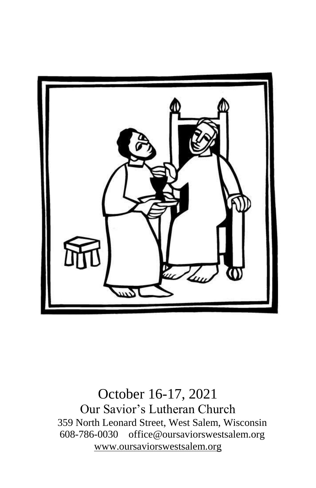

October 16-17, 2021 Our Savior's Lutheran Church 359 North Leonard Street, West Salem, Wisconsin 608-786-0030 office@oursaviorswestsalem.org [www.oursaviorswestsalem.org](http://www.oursaviorswestsalem.org/)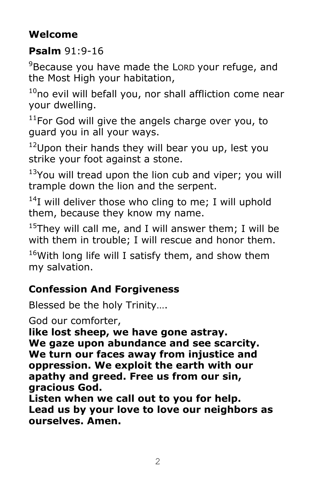# **Welcome**

## **Psalm** 91:9-16

<sup>9</sup>Because you have made the LORD your refuge, and the Most High your habitation,

 $10$ no evil will befall you, nor shall affliction come near your dwelling.

 $11$ For God will give the angels charge over you, to guard you in all your ways.

 $12$ Upon their hands they will bear you up, lest you strike your foot against a stone.

 $13$ You will tread upon the lion cub and viper; you will trample down the lion and the serpent.

 $14$ I will deliver those who cling to me; I will uphold them, because they know my name.

<sup>15</sup>They will call me, and I will answer them; I will be with them in trouble; I will rescue and honor them.

 $16$ With long life will I satisfy them, and show them my salvation.

# **Confession And Forgiveness**

Blessed be the holy Trinity….

God our comforter,

**like lost sheep, we have gone astray. We gaze upon abundance and see scarcity. We turn our faces away from injustice and oppression. We exploit the earth with our apathy and greed. Free us from our sin, gracious God.**

**Listen when we call out to you for help. Lead us by your love to love our neighbors as ourselves. Amen.**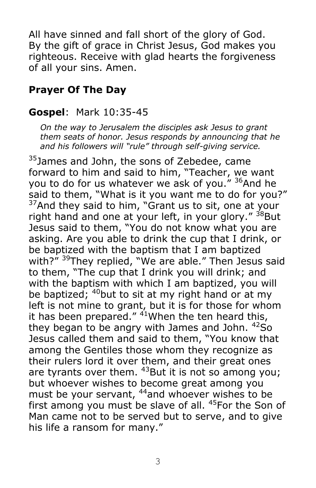All have sinned and fall short of the glory of God. By the gift of grace in Christ Jesus, God makes you righteous. Receive with glad hearts the forgiveness of all your sins. Amen.

## **Prayer Of The Day**

#### **Gospel**: Mark 10:35-45

*On the way to Jerusalem the disciples ask Jesus to grant them seats of honor. Jesus responds by announcing that he and his followers will "rule" through self-giving service.*

<sup>35</sup>James and John, the sons of Zebedee, came forward to him and said to him, "Teacher, we want you to do for us whatever we ask of you." <sup>36</sup>And he said to them, "What is it you want me to do for you?"  $37$ And they said to him, "Grant us to sit, one at your right hand and one at your left, in your glory." <sup>38</sup>But Jesus said to them, "You do not know what you are asking. Are you able to drink the cup that I drink, or be baptized with the baptism that I am baptized with?" <sup>39</sup>They replied, "We are able." Then Jesus said to them, "The cup that I drink you will drink; and with the baptism with which I am baptized, you will be baptized;  $40$  but to sit at my right hand or at my left is not mine to grant, but it is for those for whom it has been prepared."  $41$ When the ten heard this, they began to be angry with James and John.  $42$ So Jesus called them and said to them, "You know that among the Gentiles those whom they recognize as their rulers lord it over them, and their great ones are tyrants over them. <sup>43</sup>But it is not so among you; but whoever wishes to become great among you must be your servant, <sup>44</sup>and whoever wishes to be first among you must be slave of all. <sup>45</sup>For the Son of Man came not to be served but to serve, and to give his life a ransom for many."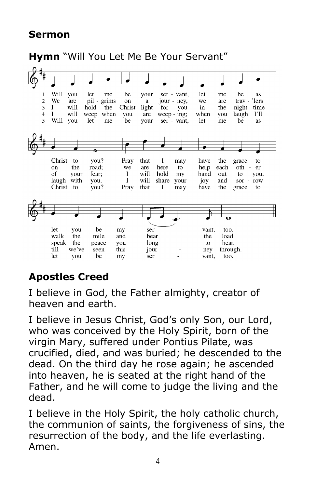### **Sermon**



# **Apostles Creed**

I believe in God, the Father almighty, creator of heaven and earth.

I believe in Jesus Christ, God's only Son, our Lord, who was conceived by the Holy Spirit, born of the virgin Mary, suffered under Pontius Pilate, was crucified, died, and was buried; he descended to the dead. On the third day he rose again; he ascended into heaven, he is seated at the right hand of the Father, and he will come to judge the living and the dead.

I believe in the Holy Spirit, the holy catholic church, the communion of saints, the forgiveness of sins, the resurrection of the body, and the life everlasting. Amen.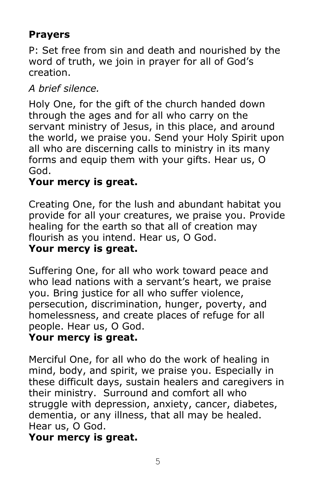# **Prayers**

P: Set free from sin and death and nourished by the word of truth, we join in prayer for all of God's creation.

## *A brief silence.*

Holy One, for the gift of the church handed down through the ages and for all who carry on the servant ministry of Jesus, in this place, and around the world, we praise you. Send your Holy Spirit upon all who are discerning calls to ministry in its many forms and equip them with your gifts. Hear us, O God.

## **Your mercy is great.**

Creating One, for the lush and abundant habitat you provide for all your creatures, we praise you. Provide healing for the earth so that all of creation may flourish as you intend. Hear us, O God. **Your mercy is great.**

Suffering One, for all who work toward peace and who lead nations with a servant's heart, we praise you. Bring justice for all who suffer violence, persecution, discrimination, hunger, poverty, and homelessness, and create places of refuge for all people. Hear us, O God.

#### **Your mercy is great.**

Merciful One, for all who do the work of healing in mind, body, and spirit, we praise you. Especially in these difficult days, sustain healers and caregivers in their ministry. Surround and comfort all who struggle with depression, anxiety, cancer, diabetes, dementia, or any illness, that all may be healed. Hear us, O God.

#### **Your mercy is great.**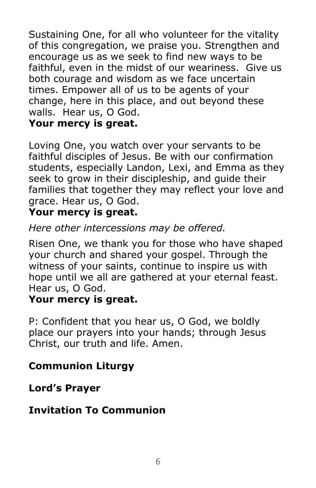Sustaining One, for all who volunteer for the vitality of this congregation, we praise you. Strengthen and encourage us as we seek to find new ways to be faithful, even in the midst of our weariness. Give us both courage and wisdom as we face uncertain times. Empower all of us to be agents of your change, here in this place, and out beyond these walls. Hear us, O God.

#### **Your mercy is great.**

Loving One, you watch over your servants to be faithful disciples of Jesus. Be with our confirmation students, especially Landon, Lexi, and Emma as they seek to grow in their discipleship, and guide their families that together they may reflect your love and grace. Hear us, O God.

## **Your mercy is great.**

#### *Here other intercessions may be offered.*

Risen One, we thank you for those who have shaped your church and shared your gospel. Through the witness of your saints, continue to inspire us with hope until we all are gathered at your eternal feast. Hear us, O God.

#### **Your mercy is great.**

P: Confident that you hear us, O God, we boldly place our prayers into your hands; through Jesus Christ, our truth and life. Amen.

## **Communion Liturgy**

#### **Lord's Prayer**

#### **Invitation To Communion**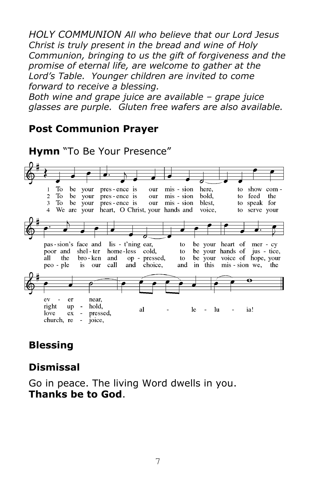*HOLY COMMUNION All who believe that our Lord Jesus Christ is truly present in the bread and wine of Holy Communion, bringing to us the gift of forgiveness and the promise of eternal life, are welcome to gather at the Lord's Table. Younger children are invited to come forward to receive a blessing.* 

*Both wine and grape juice are available – grape juice glasses are purple. Gluten free wafers are also available.* 

#### **Post Communion Prayer**



#### **Blessing**

#### **Dismissal**

Go in peace. The living Word dwells in you. **Thanks be to God**.